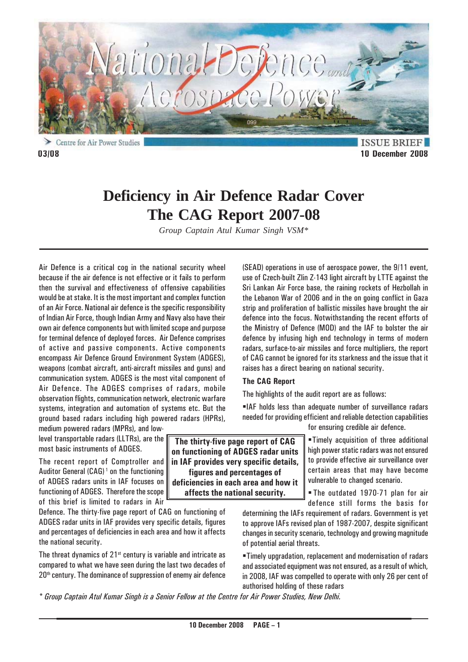

Centre for Air Power Studies **03/08 10 December 2008**

**ISSUE BRIEF** 

# **Deficiency in Air Defence Radar Cover The CAG Report 2007-08**

*Group Captain Atul Kumar Singh VSM\**

Air Defence is a critical cog in the national security wheel because if the air defence is not effective or it fails to perform then the survival and effectiveness of offensive capabilities would be at stake. It is the most important and complex function of an Air Force. National air defence is the specific responsibility of Indian Air Force, though Indian Army and Navy also have their own air defence components but with limited scope and purpose for terminal defence of deployed forces. Air Defence comprises of active and passive components. Active components encompass Air Defence Ground Environment System (ADGES), weapons (combat aircraft, anti-aircraft missiles and guns) and communication system. ADGES is the most vital component of Air Defence. The ADGES comprises of radars, mobile observation flights, communication network, electronic warfare systems, integration and automation of systems etc. But the ground based radars including high powered radars (HPRs),

medium powered radars (MPRs), and lowlevel transportable radars (LLTRs), are the most basic instruments of ADGES.

The recent report of Comptroller and Auditor General  $(CAG)^1$  on the functioning of ADGES radars units in IAF focuses on functioning of ADGES. Therefore the scope of this brief is limited to radars in Air

Defence. The thirty-five page report of CAG on functioning of ADGES radar units in IAF provides very specific details, figures and percentages of deficiencies in each area and how it affects the national security.

The threat dynamics of  $21<sup>st</sup>$  century is variable and intricate as compared to what we have seen during the last two decades of 20<sup>th</sup> century. The dominance of suppression of enemy air defence (SEAD) operations in use of aerospace power, the 9/11 event, use of Czech-built Zlin Z-143 light aircraft by LTTE against the Sri Lankan Air Force base, the raining rockets of Hezbollah in the Lebanon War of 2006 and in the on going conflict in Gaza strip and proliferation of ballistic missiles have brought the air defence into the focus. Notwithstanding the recent efforts of the Ministry of Defence (MOD) and the IAF to bolster the air defence by infusing high end technology in terms of modern radars, surface-to-air missiles and force multipliers, the report of CAG cannot be ignored for its starkness and the issue that it raises has a direct bearing on national security.

### **The CAG Report**

The highlights of the audit report are as follows:

IAF holds less than adequate number of surveillance radars needed for providing efficient and reliable detection capabilities

for ensuring credible air defence.

Timely acquisition of three additional high power static radars was not ensured to provide effective air surveillance over certain areas that may have become vulnerable to changed scenario.

 The outdated 1970-71 plan for air defence still forms the basis for

determining the IAFs requirement of radars. Government is yet to approve IAFs revised plan of 1987-2007, despite significant changes in security scenario, technology and growing magnitude of potential aerial threats.

Timely upgradation, replacement and modernisation of radars and associated equipment was not ensured, as a result of which, in 2008, IAF was compelled to operate with only 26 per cent of authorised holding of these radars

*\* Group Captain Atul Kumar Singh is a Senior Fellow at the Centre for Air Power Studies, New Delhi.*

**The thirty-five page report of CAG on functioning of ADGES radar units in IAF provides very specific details, figures and percentages of deficiencies in each area and how it affects the national security.**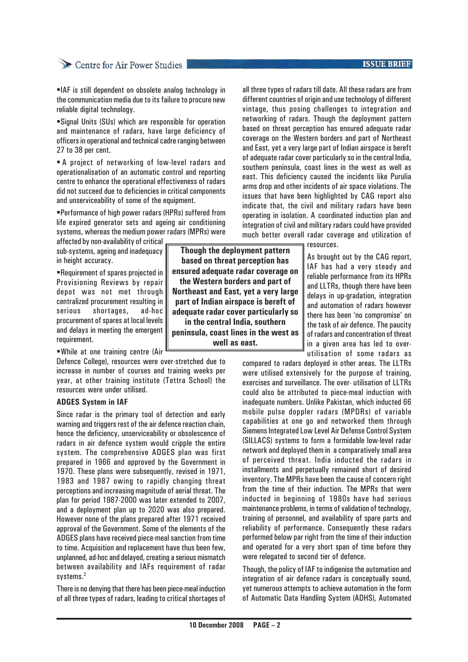### **ISSUE BRIEF**

# Centre for Air Power Studies

IAF is still dependent on obsolete analog technology in the communication media due to its failure to procure new reliable digital technology.

Signal Units (SUs) which are responsible for operation and maintenance of radars, have large deficiency of officers in operational and technical cadre ranging between 27 to 38 per cent.

**A** project of networking of low-level radars and operationalisation of an automatic control and reporting centre to enhance the operational effectiveness of radars did not succeed due to deficiencies in critical components and unserviceability of some of the equipment.

Performance of high power radars (HPRs) suffered from life expired generator sets and ageing air conditioning systems, whereas the medium power radars (MPRs) were

affected by non-availability of critical sub-systems, ageing and inadequacy in height accuracy.

Requirement of spares projected in Provisioning Reviews by repair depot was not met through centralized procurement resulting in serious shortages, ad-hoc procurement of spares at local levels and delays in meeting the emergent requirement.

While at one training centre (Air

Defence College), resources were over-stretched due to increase in number of courses and training weeks per year, at other training institute (Tettra School) the resources were under utilised.

#### **ADGES System in IAF**

Since radar is the primary tool of detection and early warning and triggers rest of the air defence reaction chain, hence the deficiency, unserviceability or obsolescence of radars in air defence system would cripple the entire system. The comprehensive ADGES plan was first prepared in 1966 and approved by the Government in 1970. These plans were subsequently, revised in 1971, 1983 and 1987 owing to rapidly changing threat perceptions and increasing magnitude of aerial threat. The plan for period 1987-2000 was later extended to 2007, and a deployment plan up to 2020 was also prepared. However none of the plans prepared after 1971 received approval of the Government. Some of the elements of the ADGES plans have received piece-meal sanction from time to time. Acquisition and replacement have thus been few, unplanned, ad-hoc and delayed, creating a serious mismatch between availability and IAFs requirement of radar systems.<sup>2</sup>

There is no denying that there has been piece-meal induction of all three types of radars, leading to critical shortages of

**Though the deployment pattern based on threat perception has ensured adequate radar coverage on the Western borders and part of Northeast and East, yet a very large part of Indian airspace is bereft of adequate radar cover particularly so in the central India, southern peninsula, coast lines in the west as well as east.**

all three types of radars till date. All these radars are from different countries of origin and use technology of different vintage, thus posing challenges to integration and networking of radars. Though the deployment pattern based on threat perception has ensured adequate radar coverage on the Western borders and part of Northeast and East, yet a very large part of Indian airspace is bereft of adequate radar cover particularly so in the central India, southern peninsula, coast lines in the west as well as east. This deficiency caused the incidents like Purulia arms drop and other incidents of air space violations. The issues that have been highlighted by CAG report also indicate that, the civil and military radars have been operating in isolation. A coordinated induction plan and integration of civil and military radars could have provided much better overall radar coverage and utilization of

resources.

As brought out by the CAG report, IAF has had a very steady and reliable performance from its HPRs and LLTRs, though there have been delays in up-gradation, integration and automation of radars however there has been 'no compromise' on the task of air defence. The paucity of radars and concentration of threat in a given area has led to overutilisation of some radars as

compared to radars deployed in other areas. The LLTRs were utilised extensively for the purpose of training, exercises and surveillance. The over- utilisation of LLTRs could also be attributed to piece-meal induction with inadequate numbers. Unlike Pakistan, which inducted 66 mobile pulse doppler radars (MPDRs) of variable capabilities at one go and networked them through Siemens Integrated Low Level Air Defense Control System (SILLACS) systems to form a formidable low-level radar network and deployed them in a comparatively small area of perceived threat. India inducted the radars in installments and perpetually remained short of desired inventory. The MPRs have been the cause of concern right from the time of their induction. The MPRs that were inducted in beginning of 1980s have had serious maintenance problems, in terms of validation of technology, training of personnel, and availability of spare parts and reliability of performance. Consequently these radars performed below par right from the time of their induction and operated for a very short span of time before they were relegated to second tier of defence.

Though, the policy of IAF to indigenise the automation and integration of air defence radars is conceptually sound, yet numerous attempts to achieve automation in the form of Automatic Data Handling System (ADHS), Automated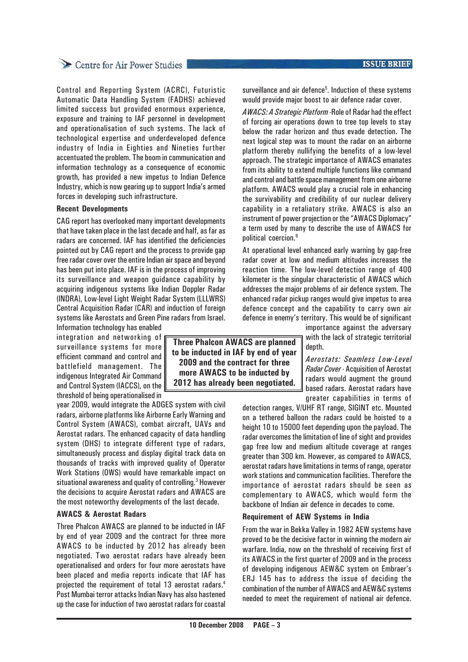## **ISSUE BRIEF**

# Centre for Air Power Studies

Control and Reporting System (ACRC), Futuristic Automatic Data Handling System (FADHS) achieved limited success but provided enormous experience, exposure and training to IAF personnel in development and operationalisation of such systems. The lack of technological expertise and underdeveloped defence industry of India in Eighties and Nineties further accentuated the problem. The boom in communication and information technology as a consequence of economic growth, has provided a new impetus to Indian Defence Industry, which is now gearing up to support India's armed forces in developing such infrastructure.

#### **Recent Developments**

CAG report has overlooked many important developments that have taken place in the last decade and half, as far as radars are concerned. IAF has identified the deficiencies pointed out by CAG report and the process to provide gap free radar cover over the entire Indian air space and beyond has been put into place. IAF is in the process of improving its surveillance and weapon guidance capability by acquiring indigenous systems like Indian Doppler Radar (INDRA), Low-level Light Weight Radar System (LLLWRS) Central Acquisition Radar (CAR) and induction of foreign systems like Aerostats and Green Pine radars from Israel.

Information technology has enabled integration and networking of surveillance systems for more efficient command and control and battlefield management. The indigenous Integrated Air Command and Control System (IACCS), on the threshold of being operationalised in

year 2009, would integrate the ADGES system with civil radars, airborne platforms like Airborne Early Warning and Control System (AWACS), combat aircraft, UAVs and Aerostat radars. The enhanced capacity of data handling system (DHS) to integrate different type of radars, simultaneously process and display digital track data on thousands of tracks with improved quality of Operator Work Stations (OWS) would have remarkable impact on situational awareness and quality of controlling.<sup>3</sup> However the decisions to acquire Aerostat radars and AWACS are the most noteworthy developments of the last decade.

#### **AWACS & Aerostat Radars**

Three Phalcon AWACS are planned to be inducted in IAF by end of year 2009 and the contract for three more AWACS to be inducted by 2012 has already been negotiated. Two aerostat radars have already been operationalised and orders for four more aerostats have been placed and media reports indicate that IAF has projected the requirement of total 13 aerostat radars.4 Post Mumbai terror attacks Indian Navy has also hastened up the case for induction of two aerostat radars for coastal

**Three Phalcon AWACS are planned to be inducted in IAF by end of year 2009 and the contract for three more AWACS to be inducted by 2012 has already been negotiated.**

surveillance and air defence<sup>5</sup>. Induction of these systems would provide major boost to air defence radar cover.

*AWACS: A Strategic Platform -*Role of Radar had the effect of forcing air operations down to tree top levels to stay below the radar horizon and thus evade detection. The next logical step was to mount the radar on an airborne platform thereby nullifying the benefits of a low-level approach. The strategic importance of AWACS emanates from its ability to extend multiple functions like command and control and battle space management from one airborne platform. AWACS would play a crucial role in enhancing the survivability and credibility of our nuclear delivery capability in a retaliatory strike. AWACS is also an instrument of power projection or the "AWACS Diplomacy" a term used by many to describe the use of AWACS for political coercion.6

At operational level enhanced early warning by gap-free radar cover at low and medium altitudes increases the reaction time. The low-level detection range of 400 kilometer is the singular characteristic of AWACS which addresses the major problems of air defence system. The enhanced radar pickup ranges would give impetus to area defence concept and the capability to carry own air defence in enemy's territory. This would be of significant

> importance against the adversary with the lack of strategic territorial depth.

> *Aerostats: Seamless Low-Level Radar Cover* - Acquisition of Aerostat radars would augment the ground based radars. Aerostat radars have greater capabilities in terms of

detection ranges, V/UHF RT range, SIGINT etc. Mounted on a tethered balloon the radars could be hoisted to a height 10 to 15000 feet depending upon the payload. The radar overcomes the limitation of line of sight and provides gap free low and medium altitude coverage at ranges greater than 300 km. However, as compared to AWACS, aerostat radars have limitations in terms of range, operator work stations and communication facilities. Therefore the importance of aerostat radars should be seen as complementary to AWACS, which would form the backbone of Indian air defence in decades to come.

#### **Requirement of AEW Systems in India**

From the war in Bekka Valley in 1982 AEW systems have proved to be the decisive factor in winning the modern air warfare. India, now on the threshold of receiving first of its AWACS in the first quarter of 2009 and in the process of developing indigenous AEW&C system on Embraer's ERJ 145 has to address the issue of deciding the combination of the number of AWACS and AEW&C systems needed to meet the requirement of national air defence.